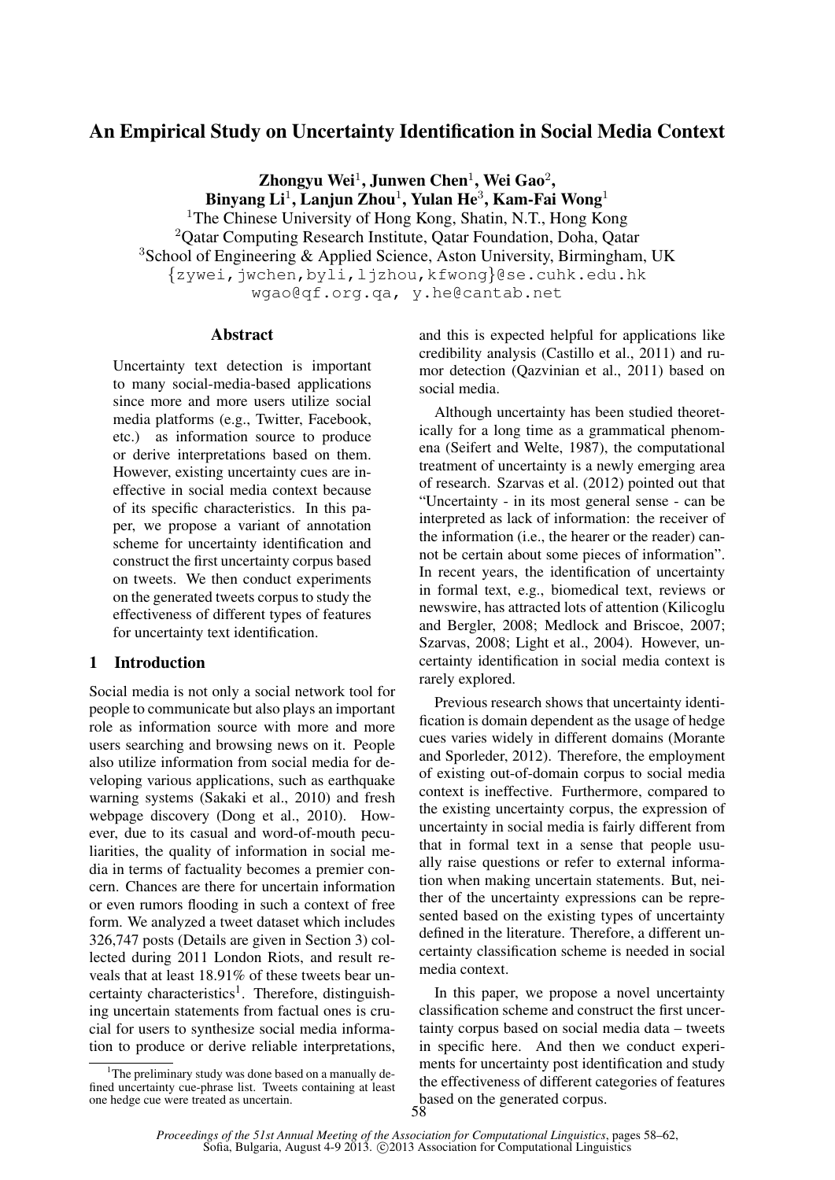# An Empirical Study on Uncertainty Identification in Social Media Context

Zhongyu Wei $^1$ , Junwen Chen $^1$ , Wei Gao $^2$ , Binyang Li $^1$ , Lanjun Zhou $^1$ , Yulan He $^3$ , Kam-Fai Wong $^1$ <sup>1</sup>The Chinese University of Hong Kong, Shatin, N.T., Hong Kong

<sup>2</sup> Oatar Computing Research Institute, Qatar Foundation, Doha, Qatar <sup>3</sup>School of Engineering & Applied Science, Aston University, Birmingham, UK {zywei,jwchen,byli,ljzhou,kfwong}@se.cuhk.edu.hk wgao@qf.org.qa, y.he@cantab.net

## Abstract

Uncertainty text detection is important to many social-media-based applications since more and more users utilize social media platforms (e.g., Twitter, Facebook, etc.) as information source to produce or derive interpretations based on them. However, existing uncertainty cues are ineffective in social media context because of its specific characteristics. In this paper, we propose a variant of annotation scheme for uncertainty identification and construct the first uncertainty corpus based on tweets. We then conduct experiments on the generated tweets corpus to study the effectiveness of different types of features for uncertainty text identification.

## 1 Introduction

Social media is not only a social network tool for people to communicate but also plays an important role as information source with more and more users searching and browsing news on it. People also utilize information from social media for developing various applications, such as earthquake warning systems (Sakaki et al., 2010) and fresh webpage discovery (Dong et al., 2010). However, due to its casual and word-of-mouth peculiarities, the quality of information in social media in terms of factuality becomes a premier concern. Chances are there for uncertain information or even rumors flooding in such a context of free form. We analyzed a tweet dataset which includes 326,747 posts (Details are given in Section 3) collected during 2011 London Riots, and result reveals that at least 18.91% of these tweets bear uncertainty characteristics<sup>1</sup>. Therefore, distinguishing uncertain statements from factual ones is crucial for users to synthesize social media information to produce or derive reliable interpretations,

<sup>1</sup>The preliminary study was done based on a manually defined uncertainty cue-phrase list. Tweets containing at least one hedge cue were treated as uncertain.

and this is expected helpful for applications like credibility analysis (Castillo et al., 2011) and rumor detection (Qazvinian et al., 2011) based on social media.

Although uncertainty has been studied theoretically for a long time as a grammatical phenomena (Seifert and Welte, 1987), the computational treatment of uncertainty is a newly emerging area of research. Szarvas et al. (2012) pointed out that "Uncertainty - in its most general sense - can be interpreted as lack of information: the receiver of the information (i.e., the hearer or the reader) cannot be certain about some pieces of information". In recent years, the identification of uncertainty in formal text, e.g., biomedical text, reviews or newswire, has attracted lots of attention (Kilicoglu and Bergler, 2008; Medlock and Briscoe, 2007; Szarvas, 2008; Light et al., 2004). However, uncertainty identification in social media context is rarely explored.

Previous research shows that uncertainty identification is domain dependent as the usage of hedge cues varies widely in different domains (Morante and Sporleder, 2012). Therefore, the employment of existing out-of-domain corpus to social media context is ineffective. Furthermore, compared to the existing uncertainty corpus, the expression of uncertainty in social media is fairly different from that in formal text in a sense that people usually raise questions or refer to external information when making uncertain statements. But, neither of the uncertainty expressions can be represented based on the existing types of uncertainty defined in the literature. Therefore, a different uncertainty classification scheme is needed in social media context.

In this paper, we propose a novel uncertainty classification scheme and construct the first uncertainty corpus based on social media data – tweets in specific here. And then we conduct experiments for uncertainty post identification and study the effectiveness of different categories of features based on the generated corpus.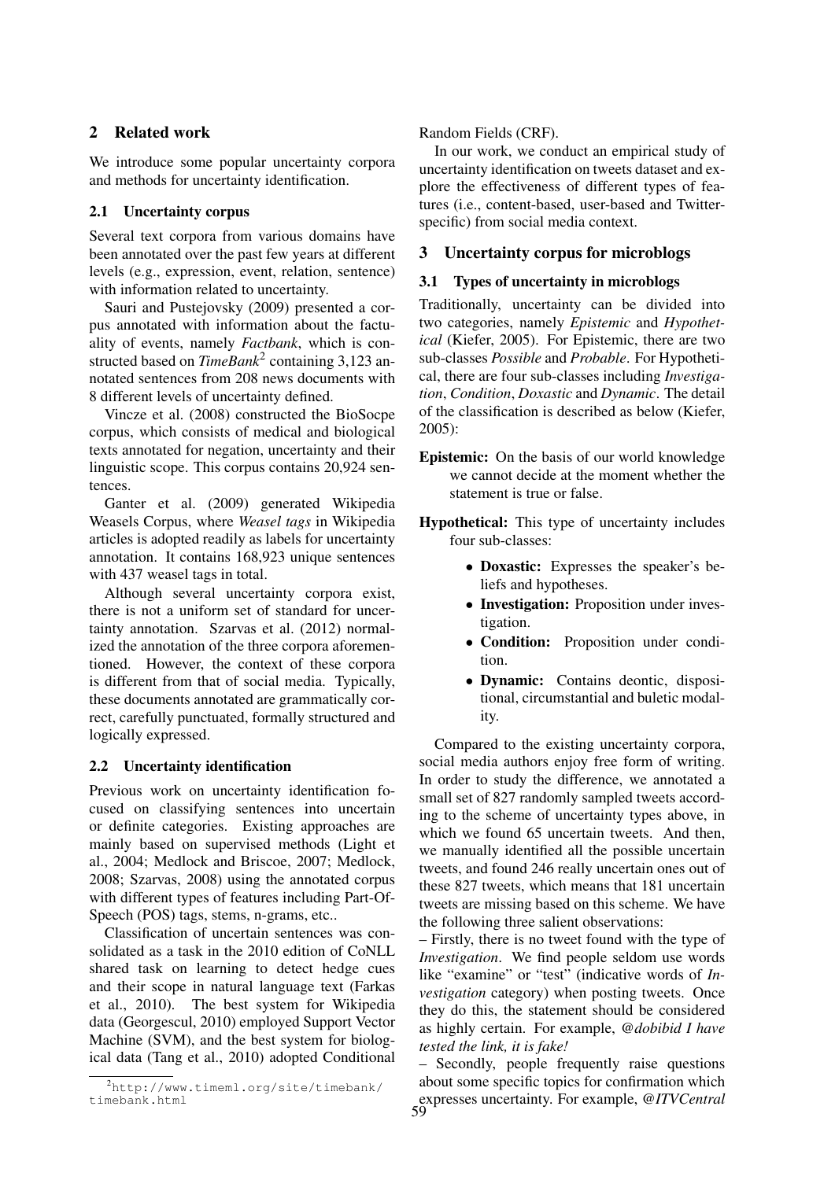## 2 Related work

We introduce some popular uncertainty corpora and methods for uncertainty identification.

## 2.1 Uncertainty corpus

Several text corpora from various domains have been annotated over the past few years at different levels (e.g., expression, event, relation, sentence) with information related to uncertainty.

Sauri and Pustejovsky (2009) presented a corpus annotated with information about the factuality of events, namely *Factbank*, which is constructed based on *TimeBank*<sup>2</sup> containing 3,123 annotated sentences from 208 news documents with 8 different levels of uncertainty defined.

Vincze et al. (2008) constructed the BioSocpe corpus, which consists of medical and biological texts annotated for negation, uncertainty and their linguistic scope. This corpus contains 20,924 sentences.

Ganter et al. (2009) generated Wikipedia Weasels Corpus, where *Weasel tags* in Wikipedia articles is adopted readily as labels for uncertainty annotation. It contains 168,923 unique sentences with 437 weasel tags in total.

Although several uncertainty corpora exist, there is not a uniform set of standard for uncertainty annotation. Szarvas et al. (2012) normalized the annotation of the three corpora aforementioned. However, the context of these corpora is different from that of social media. Typically, these documents annotated are grammatically correct, carefully punctuated, formally structured and logically expressed.

## 2.2 Uncertainty identification

Previous work on uncertainty identification focused on classifying sentences into uncertain or definite categories. Existing approaches are mainly based on supervised methods (Light et al., 2004; Medlock and Briscoe, 2007; Medlock, 2008; Szarvas, 2008) using the annotated corpus with different types of features including Part-Of-Speech (POS) tags, stems, n-grams, etc..

Classification of uncertain sentences was consolidated as a task in the 2010 edition of CoNLL shared task on learning to detect hedge cues and their scope in natural language text (Farkas et al., 2010). The best system for Wikipedia data (Georgescul, 2010) employed Support Vector Machine (SVM), and the best system for biological data (Tang et al., 2010) adopted Conditional

## Random Fields (CRF).

In our work, we conduct an empirical study of uncertainty identification on tweets dataset and explore the effectiveness of different types of features (i.e., content-based, user-based and Twitterspecific) from social media context.

## 3 Uncertainty corpus for microblogs

## 3.1 Types of uncertainty in microblogs

Traditionally, uncertainty can be divided into two categories, namely *Epistemic* and *Hypothetical* (Kiefer, 2005). For Epistemic, there are two sub-classes *Possible* and *Probable*. For Hypothetical, there are four sub-classes including *Investigation*, *Condition*, *Doxastic* and *Dynamic*. The detail of the classification is described as below (Kiefer, 2005):

- Epistemic: On the basis of our world knowledge we cannot decide at the moment whether the statement is true or false.
- Hypothetical: This type of uncertainty includes four sub-classes:
	- Doxastic: Expresses the speaker's beliefs and hypotheses.
	- Investigation: Proposition under investigation.
	- Condition: Proposition under condition.
	- Dynamic: Contains deontic, dispositional, circumstantial and buletic modality.

Compared to the existing uncertainty corpora, social media authors enjoy free form of writing. In order to study the difference, we annotated a small set of 827 randomly sampled tweets according to the scheme of uncertainty types above, in which we found 65 uncertain tweets. And then, we manually identified all the possible uncertain tweets, and found 246 really uncertain ones out of these 827 tweets, which means that 181 uncertain tweets are missing based on this scheme. We have the following three salient observations:

– Firstly, there is no tweet found with the type of *Investigation*. We find people seldom use words like "examine" or "test" (indicative words of *Investigation* category) when posting tweets. Once they do this, the statement should be considered as highly certain. For example, *@dobibid I have tested the link, it is fake!*

– Secondly, people frequently raise questions about some specific topics for confirmation which expresses uncertainty. For example, *@ITVCentral*

<sup>2</sup>http://www.timeml.org/site/timebank/ timebank.html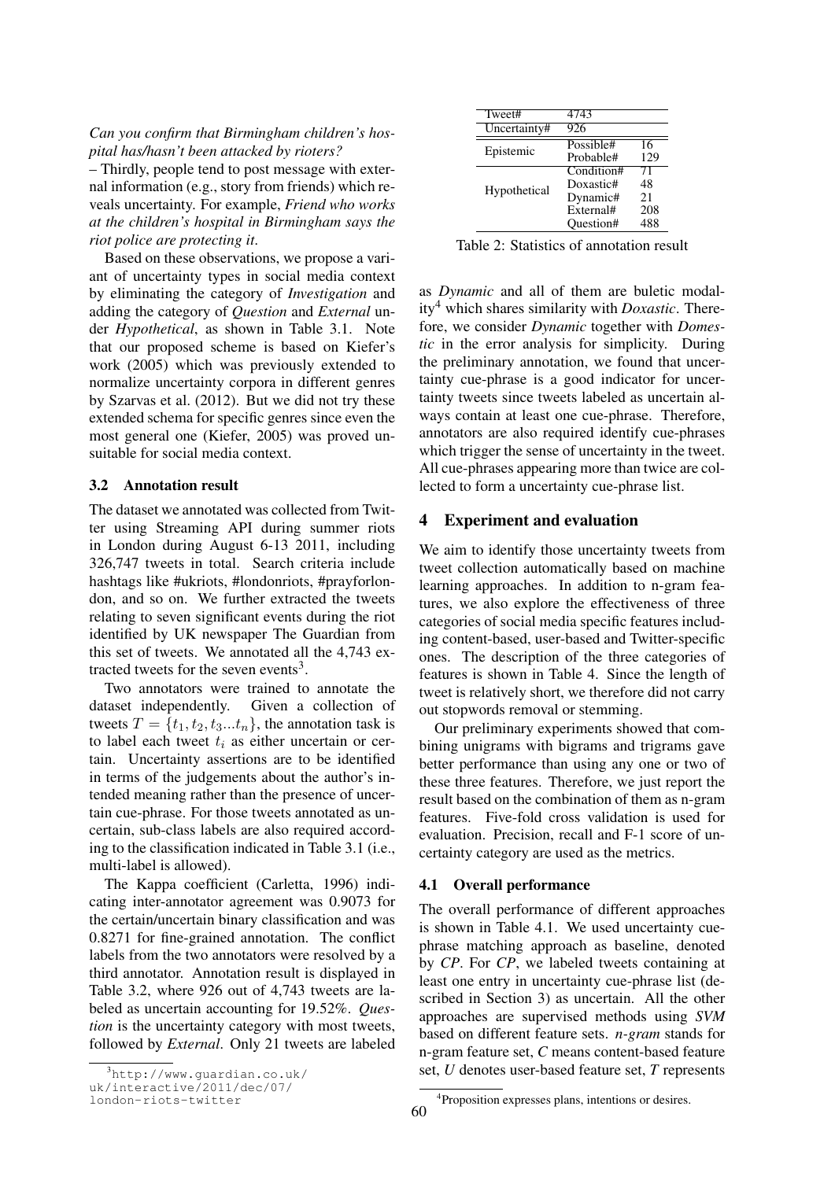#### *Can you confirm that Birmingham children's hospital has/hasn't been attacked by rioters?*

– Thirdly, people tend to post message with external information (e.g., story from friends) which reveals uncertainty. For example, *Friend who works at the children's hospital in Birmingham says the riot police are protecting it*.

Based on these observations, we propose a variant of uncertainty types in social media context by eliminating the category of *Investigation* and adding the category of *Question* and *External* under *Hypothetical*, as shown in Table 3.1. Note that our proposed scheme is based on Kiefer's work (2005) which was previously extended to normalize uncertainty corpora in different genres by Szarvas et al. (2012). But we did not try these extended schema for specific genres since even the most general one (Kiefer, 2005) was proved unsuitable for social media context.

#### 3.2 Annotation result

The dataset we annotated was collected from Twitter using Streaming API during summer riots in London during August 6-13 2011, including 326,747 tweets in total. Search criteria include hashtags like #ukriots, #londonriots, #prayforlondon, and so on. We further extracted the tweets relating to seven significant events during the riot identified by UK newspaper The Guardian from this set of tweets. We annotated all the 4,743 extracted tweets for the seven events<sup>3</sup>.

Two annotators were trained to annotate the dataset independently. Given a collection of tweets  $T = \{t_1, t_2, t_3...t_n\}$ , the annotation task is to label each tweet  $t_i$  as either uncertain or certain. Uncertainty assertions are to be identified in terms of the judgements about the author's intended meaning rather than the presence of uncertain cue-phrase. For those tweets annotated as uncertain, sub-class labels are also required according to the classification indicated in Table 3.1 (i.e., multi-label is allowed).

The Kappa coefficient (Carletta, 1996) indicating inter-annotator agreement was 0.9073 for the certain/uncertain binary classification and was 0.8271 for fine-grained annotation. The conflict labels from the two annotators were resolved by a third annotator. Annotation result is displayed in Table 3.2, where 926 out of 4,743 tweets are labeled as uncertain accounting for 19.52%. *Question* is the uncertainty category with most tweets, followed by *External*. Only 21 tweets are labeled

| Tweet#       | 4743       |     |
|--------------|------------|-----|
| Uncertainty# | 926        |     |
|              | Possible#  | 16  |
| Epistemic    | Probable#  | 129 |
| Hypothetical | Condition# | 71  |
|              | Doxastic#  | 48  |
|              | Dynamic#   | 21  |
|              | External#  | 208 |
|              | Ouestion#  | 488 |

Table 2: Statistics of annotation result

as *Dynamic* and all of them are buletic modality<sup>4</sup> which shares similarity with *Doxastic*. Therefore, we consider *Dynamic* together with *Domestic* in the error analysis for simplicity. During the preliminary annotation, we found that uncertainty cue-phrase is a good indicator for uncertainty tweets since tweets labeled as uncertain always contain at least one cue-phrase. Therefore, annotators are also required identify cue-phrases which trigger the sense of uncertainty in the tweet. All cue-phrases appearing more than twice are collected to form a uncertainty cue-phrase list.

## 4 Experiment and evaluation

We aim to identify those uncertainty tweets from tweet collection automatically based on machine learning approaches. In addition to n-gram features, we also explore the effectiveness of three categories of social media specific features including content-based, user-based and Twitter-specific ones. The description of the three categories of features is shown in Table 4. Since the length of tweet is relatively short, we therefore did not carry out stopwords removal or stemming.

Our preliminary experiments showed that combining unigrams with bigrams and trigrams gave better performance than using any one or two of these three features. Therefore, we just report the result based on the combination of them as n-gram features. Five-fold cross validation is used for evaluation. Precision, recall and F-1 score of uncertainty category are used as the metrics.

#### 4.1 Overall performance

The overall performance of different approaches is shown in Table 4.1. We used uncertainty cuephrase matching approach as baseline, denoted by *CP*. For *CP*, we labeled tweets containing at least one entry in uncertainty cue-phrase list (described in Section 3) as uncertain. All the other approaches are supervised methods using *SVM* based on different feature sets. *n-gram* stands for n-gram feature set, *C* means content-based feature set, *U* denotes user-based feature set, *T* represents

 $3$ http://www.quardian.co.uk/

uk/interactive/2011/dec/07/ london-riots-twitter

<sup>4</sup> Proposition expresses plans, intentions or desires.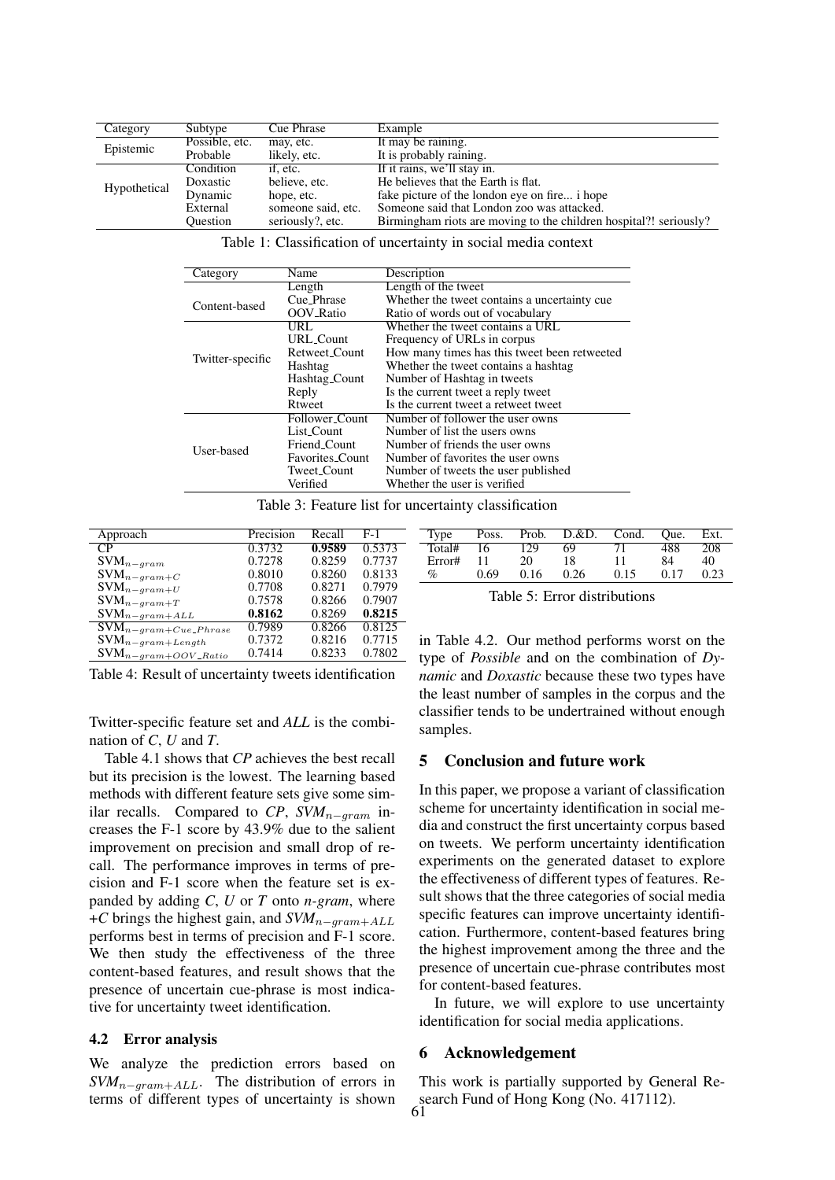| Category     | Subtype        | Cue Phrase         | Example                                                           |  |  |  |  |
|--------------|----------------|--------------------|-------------------------------------------------------------------|--|--|--|--|
| Epistemic    | Possible, etc. | may, etc.          | It may be raining.                                                |  |  |  |  |
|              | Probable       | likely, etc.       | It is probably raining.                                           |  |  |  |  |
| Hypothetical | Condition      | if, etc.           | If it rains, we'll stay in.                                       |  |  |  |  |
|              | Doxastic       | believe, etc.      | He believes that the Earth is flat.                               |  |  |  |  |
|              | Dynamic        | hope, etc.         | fake picture of the london eye on fire i hope                     |  |  |  |  |
|              | External       | someone said, etc. | Someone said that London zoo was attacked.                        |  |  |  |  |
|              | Ouestion       | seriously?, etc.   | Birmingham riots are moving to the children hospital?! seriously? |  |  |  |  |

Table 1: Classification of uncertainty in social media context

| Category         | Name                   | Description                                  |
|------------------|------------------------|----------------------------------------------|
|                  | Length                 | Length of the tweet                          |
| Content-based    | Cue_Phrase             | Whether the tweet contains a uncertainty cue |
|                  | <b>OOV_Ratio</b>       | Ratio of words out of vocabulary             |
|                  | URL.                   | Whether the tweet contains a URL             |
| Twitter-specific | <b>URL_Count</b>       | Frequency of URLs in corpus                  |
|                  | Retweet_Count          | How many times has this tweet been retweeted |
|                  | Hashtag                | Whether the tweet contains a hashtag.        |
|                  | Hashtag_Count          | Number of Hashtag in tweets                  |
|                  | Reply                  | Is the current tweet a reply tweet           |
|                  | Rtweet                 | Is the current tweet a retweet tweet         |
| User-based       | Follower_Count         | Number of follower the user owns             |
|                  | List Count             | Number of list the users owns                |
|                  | Friend_Count           | Number of friends the user owns              |
|                  | <b>Favorites Count</b> | Number of favorites the user owns            |
|                  | Tweet_Count            | Number of tweets the user published          |
|                  | Verified               | Whether the user is verified                 |

Table 3: Feature list for uncertainty classification

| Approach                                       | Precision | Recall | $F-1$  | Type                                                   | Poss. | Prob. | D.&D. | Cond. | Oue. | Ext  |
|------------------------------------------------|-----------|--------|--------|--------------------------------------------------------|-------|-------|-------|-------|------|------|
| $\overline{CP}$                                | 0.3732    | 0.9589 | 0.5373 | Total#                                                 | 16    | 129   | 69    |       | 488  | 208  |
| $\mathrm{SVM}_{n-gram}$                        | 0.7278    | 0.8259 | 0.7737 | Error#                                                 | 11    | 20    | 18    |       | 84   | 40   |
| $\mathsf{SVM}_{n-gram+C}$                      | 0.8010    | 0.8260 | 0.8133 | $\%$                                                   | 0.69  | 0.16  | 0.26  | 0.15  | 0.17 | 0.23 |
| $\mathrm{SVM}_{n-gram+U}$                      | 0.7708    | 0.8271 | 0.7979 | Table 5: Error distributions                           |       |       |       |       |      |      |
| $\text{SVM}_{n-gram+T}$                        | 0.7578    | 0.8266 | 0.7907 |                                                        |       |       |       |       |      |      |
| $\text{SVM}_{n-gram + ALL}$                    | 0.8162    | 0.8269 | 0.8215 |                                                        |       |       |       |       |      |      |
| $\overline{\mathrm{SVM}}_{n-gram+Cue\_Phrase}$ | 0.7989    | 0.8266 | 0.8125 |                                                        |       |       |       |       |      |      |
| $\mathrm{SVM}_{n-gram+Length}$                 | 0.7372    | 0.8216 | 0.7715 | in Table 4.2. Our method performs worst on the         |       |       |       |       |      |      |
| $\text{SVM}_{n-gram+OOV\_Ratio}$               | 0.7414    | 0.8233 | 0.7802 | type of <i>Possible</i> and on the combination of $Dv$ |       |       |       |       |      |      |
|                                                |           |        |        |                                                        |       |       |       |       |      |      |

Table 4: Result of uncertainty tweets identification

Twitter-specific feature set and *ALL* is the combination of *C*, *U* and *T*.

Table 4.1 shows that *CP* achieves the best recall but its precision is the lowest. The learning based methods with different feature sets give some similar recalls. Compared to  $CP$ ,  $SVM_{n-gram}$  increases the F-1 score by 43.9% due to the salient improvement on precision and small drop of recall. The performance improves in terms of precision and F-1 score when the feature set is expanded by adding *C*, *U* or *T* onto *n-gram*, where +*C* brings the highest gain, and  $SVM_{n-gram+ALL}$ performs best in terms of precision and F-1 score. We then study the effectiveness of the three content-based features, and result shows that the presence of uncertain cue-phrase is most indicative for uncertainty tweet identification.

#### 4.2 Error analysis

We analyze the prediction errors based on *SVM*<sub>n−gram+ALL</sub>. The distribution of errors in terms of different types of uncertainty is shown

Total# 16 129 69 71 488 208 Error# 11 20 18 11 84 40 % 0.69 0.16 0.26 0.15 0.17 0.23

r distributions

od performs worst on the type of *Possible* and on the combination of *Dynamic* and *Doxastic* because these two types have the least number of samples in the corpus and the classifier tends to be undertrained without enough samples.

#### 5 Conclusion and future work

In this paper, we propose a variant of classification scheme for uncertainty identification in social media and construct the first uncertainty corpus based on tweets. We perform uncertainty identification experiments on the generated dataset to explore the effectiveness of different types of features. Result shows that the three categories of social media specific features can improve uncertainty identification. Furthermore, content-based features bring the highest improvement among the three and the presence of uncertain cue-phrase contributes most for content-based features.

In future, we will explore to use uncertainty identification for social media applications.

#### 6 Acknowledgement

This work is partially supported by General Research Fund of Hong Kong (No. 417112).